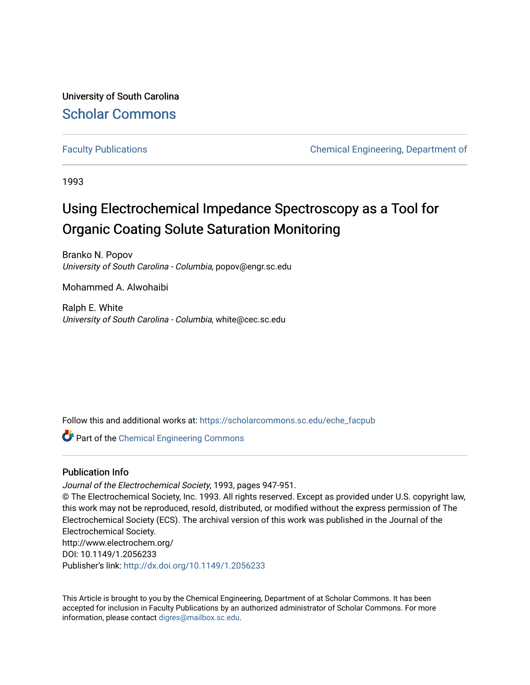University of South Carolina [Scholar Commons](https://scholarcommons.sc.edu/) 

[Faculty Publications](https://scholarcommons.sc.edu/eche_facpub) [Chemical Engineering, Department of](https://scholarcommons.sc.edu/eche) 

1993

# Using Electrochemical Impedance Spectroscopy as a Tool for Organic Coating Solute Saturation Monitoring

Branko N. Popov University of South Carolina - Columbia, popov@engr.sc.edu

Mohammed A. Alwohaibi

Ralph E. White University of South Carolina - Columbia, white@cec.sc.edu

Follow this and additional works at: [https://scholarcommons.sc.edu/eche\\_facpub](https://scholarcommons.sc.edu/eche_facpub?utm_source=scholarcommons.sc.edu%2Feche_facpub%2F86&utm_medium=PDF&utm_campaign=PDFCoverPages) 

**C** Part of the [Chemical Engineering Commons](http://network.bepress.com/hgg/discipline/240?utm_source=scholarcommons.sc.edu%2Feche_facpub%2F86&utm_medium=PDF&utm_campaign=PDFCoverPages)

## Publication Info

Journal of the Electrochemical Society, 1993, pages 947-951.

© The Electrochemical Society, Inc. 1993. All rights reserved. Except as provided under U.S. copyright law, this work may not be reproduced, resold, distributed, or modified without the express permission of The Electrochemical Society (ECS). The archival version of this work was published in the Journal of the Electrochemical Society.

http://www.electrochem.org/ DOI: 10.1149/1.2056233 Publisher's link: <http://dx.doi.org/10.1149/1.2056233>

This Article is brought to you by the Chemical Engineering, Department of at Scholar Commons. It has been accepted for inclusion in Faculty Publications by an authorized administrator of Scholar Commons. For more information, please contact [digres@mailbox.sc.edu.](mailto:digres@mailbox.sc.edu)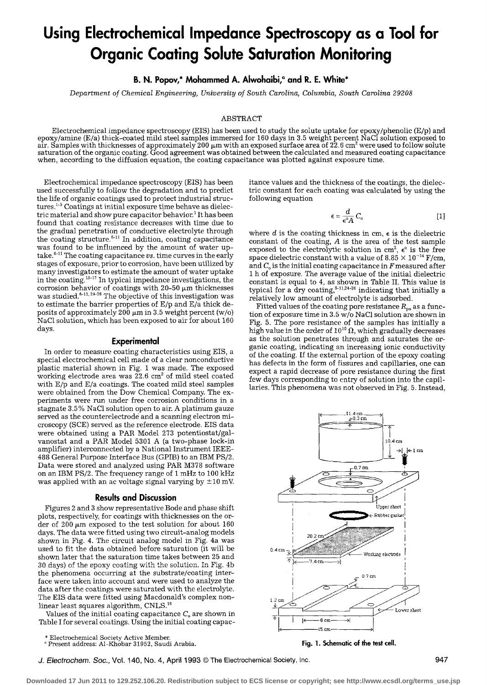# **Using Electrochemical Impedance Spectroscopy as a Tool for Organic Coating Solute Saturation Monitoring**

**B. N. Popov,\* Mohammed A. Alwohaibi,<sup>a</sup> and R. E. White\*** 

*Department of Chemical Engineering, University of South Carolina, Columbia, South Carolina 29208* 

#### ABSTRACT

Electrochemical impedance spectroscopy (EIS) has been used to study the solute uptake for epoxy/phenolic (E/p) and epoxy/amine (E/a) thick-coated mild steel samples immersed for 160 days in 3.5 weight percent NaC1 solution exposed to air. Samples with thicknesses of approximately 200  $\mu$ m with an exposed surface area of 22.6 cm $^2$  were used to follow solute saturation of the organic coating. Good agreement was obtained between the calculated and measured coating capacitance when, according to the diffusion equation, the coating capacitance was plotted against exposure time.

Electrochemical impedance spectroscopy (EIS) has been used successfully to follow the degradation and to predict the life of organic coatings used to protect industrial structures.<sup>1-5</sup> Coatings at initial exposure time behave as dielectric material and show pure capacitor behavior.<sup>1</sup> It has been found that coating resistance decreases with time due to the gradual penetration of conductive electrolyte through the coating structure.<sup> $6-11$ </sup> In addition, coating capacitance was found to be influenced by the amount of water uptake.<sup>6-11</sup> The coating capacitance *vs.* time curves in the early stages of exposure, prior to corrosion, have been utilized by many investigators to estimate the amount of water uptake in the coating.  $13-17$  In typical impedance investigations, the corrosion behavior of coatings with  $20-50 ~\mu m$  thicknesses was studied. ${}^{8-11,\,24-26}$  The objective of this investigation was to estimate the barrier properties of E/p and E/a thick deposits of approximately 200  $\mu$ m in 3.5 weight percent (w/o) NaC1 solution, which has been exposed to air for about 160 days.

#### **Experimental**

In order to measure coating characteristics using EIS, a special electrochemical cell made of a clear nonconductive plastic material shown in Fig. 1 was made. The exposed working electrode area was  $22.6 \text{ cm}^2$  of mild steel coated with E/p and E/a coatings. The coated mild steel samples were obtained from the Dow Chemical Company. The experiments were run under free corrosion conditions in a stagnate 3.5 % NaC1 solution open to air. A platinum gauze served as the counterelectrode and a scanning electron microscopy (SCE) served as the reference electrode. EIS data were obtained using a PAR Model 273 potentiostat/galvanostat and a PAR Model 5301 A (a two-phase lock-in amplifier) interconnected by a National Instrument IEEE-488 General Purpose Interface Bus (GPIB) to an IBM PS/2. Data were stored and analyzed using PAR M378 software on an IBM PS/2. The frequency range of 1 mHz to 100 kHz was applied with an ac voltage signal varying by  $\pm 10$  mV.

#### **Results and Discussion**

Figures 2 and 3 show representative Bode and phase shift plots, respectively, for coatings with thicknesses on the order of 200  $\mu$ m exposed to the test solution for about 160 days. The data were fitted using two circuit-analog models shown in Fig. 4. The circuit analog model in Fig. 4a was used to fit the data obtained before saturation (it will be shown later that the saturation time takes between 25 and 30 days) of the epoxy coating with the solution. In Fig. 4b the phenomena occurring at the substrate/eoating interface were taken into account and were used to analyze the data after the coatings were saturated with the electrolyte. The EIS data were fitted using Macdonald's complex nonlinear least squares algorithm,  $CNLS.<sup>18</sup>$ 

Values of the initial coating capacitance  $C<sub>o</sub>$  are shown in Table I for several coatings. Using the initial coating capac-

\* Electrochemical Society Active Member.

itance values and the thickness of the coatings, the dielectric constant for each coating was calculated by using the following equation

$$
\epsilon = \frac{d}{\epsilon^{\circ} A} C_{\circ}
$$
 [1]

where  $d$  is the coating thickness in cm,  $\epsilon$  is the dielectric constant of the coating, A is the area of the test sample exposed to the electrolytic solution in cm<sup>2</sup>,  $\epsilon^{\circ}$  is the free space dielectric constant with a value of 8.85  $\times$  10<sup>-14</sup> F/cm, and  $C_{\circ}$  is the initial coating capacitance in  $F$  measured after I h of exposure. The average value of the initial dielectric constant is equal to 4, as shown in Table II. This value is typical for a dry coating,  $5-4.2426$  indicating that initially a relatively low amount of electrolyte is adsorbed.

Fitted values of the coating pore resistance  $R_{po}$  as a function of exposure time in 3.5 w/o NaC1 solution are shown in Fig. 5. The pore resistance of the samples has initially a high value in the order of  $10^{10} \Omega$ , which gradually decreases as the solution penetrates through and saturates the organic coating, indicating an increasing ionic conductivity of the coating. If the external portion of the epoxy coating has defects in the form of fissures and capillaries, one can expect a rapid decrease of pore resistance during the first few days corresponding to entry of solution into the capillaries. This phenomena was not observed in Fig. 5. Instead,



**Fig. 1. Schematic of the test cell.** 

**Downloaded 17 Jun 2011 to 129.252.106.20. Redistribution subject to ECS license or copyright; see http://www.ecsdl.org/terms\_use.jsp**

Present address: A1-Khobar 31952, Saudi Arabia.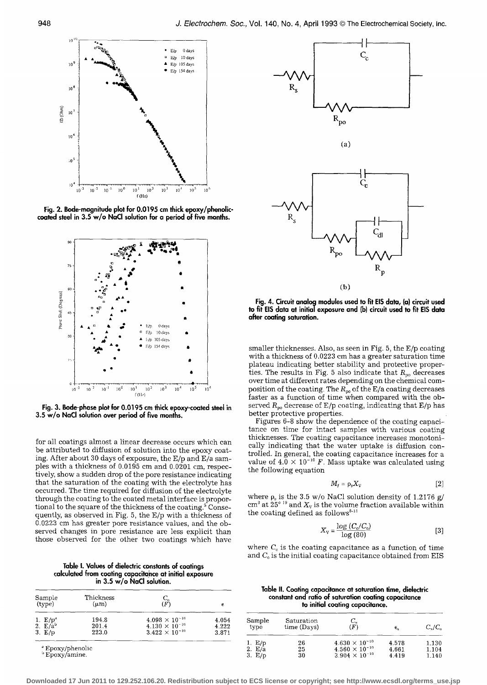

**Fig. 2. Bode-magnitude plot for 0.0195 cm thick epoxy/phenoliccoated steel in 3.5 w/o NaCI solution for a period of five months.** 



Fig. 3. Bode-phase plot for 0.0195 cm thick epoxy-coated steel in **3.5 w/o NaCI solution over period of five months.** 

for all coatings almost a linear decrease occurs which can be attributed to diffusion of solution into the epoxy coating. After about 30 days of exposure, the E/p and E/a samples with a thickness of 0.0195 cm and 0.0201 cm, respectively, show a sudden drop of the pore resistance indicating that the saturation of the coating with the electrolyte has occurred. The time required for diffusion of the electrolyte through the coating to the coated metal interface is proportional to the square of the thickness of the coating.<sup>5</sup> Consequently, as observed in Fig. 5, the E/p with a thickness of 0.0223 cm has greater pore resistance values, and the observed changes in pore resistance are less explicit than those observed for the other two coatings which have

**Table I. Values of dielectric constants of coatings calculated from coating capacitahce at initial exposure in 3.5 w/o NaCI solution.** 

| Sample<br>(type) | Thickness<br>$(\mu m)$ | $C_{\scriptscriptstyle \alpha}$<br>(F) | е     |
|------------------|------------------------|----------------------------------------|-------|
| 1. $E/p^*$       | 194.8                  | $4.098 \times 10^{-10}$                | 4.054 |
| 2. $E/a^b$       | 201.4                  | $4.130\times10^{-10}$                  | 4.222 |
| 3. E/p           | 223.0                  | $3.422 \times 10^{-10}$                | 3.871 |



**Fig. 4. Circuit analog modules used to fit EIS data, (a) circuit used to fit EIS data at initial exposure and (b) circuit used to fit EIS data after coating saturation.** 

smaller thicknesses. Also, as seen in Fig. 5, the E/p coating with a thickness of 0.0223 cm has a greater saturation time plateau indicating better stability and protective properties. The results in Fig. 5 also indicate that  $R_{po}$  decreases over time at different rates depending on the chemical composition of the coating. The  $R_{\sf po}$  of the E/a coating decreases faster as a function of time when compared with the observed  $R_{\sf po}$  decrease of E/p coating, indicating that E/p has better protective properties.

Figures 6-8 show the dependence of the coating capacitance on time for intact samples with various coating thicknesses. The coating capacitance increases monotonically indicating that the water uptake is diffusion controlled. In general, the coating capacitance increases for a value of  $4.0 \times 10^{-10}$  F. Mass uptake was calculated using the following equation

$$
M_f = \rho_s X_V \tag{2}
$$

where  $\rho_s$  is the 3.5 w/o NaCl solution density of 1.2176 g/ cm<sup>3</sup> at  $25^{\circ}$  <sup>19</sup> and  $X_{\nu}$  is the volume fraction available within the coating defined as follows<sup> $6-11$ </sup>

$$
X_{\rm V} = \frac{\log\left(C_{\rm c}/C_{\rm o}\right)}{\log\left(80\right)}\tag{3}
$$

where  $C_c$  is the coating capacitance as a function of time and  $C<sub>o</sub>$  is the initial coating capacitance obtained from EIS

**Table II. Coating capacitance at saturation time, dielectric constant and ratio of saturation coating capacitance to initial coating capacitance.** 

| Sample<br>type | Saturation<br>time (Days) | $C_{\gamma}$<br>(F)     | $\boldsymbol{\epsilon}_{\star}$ | $C_{\alpha}/C_{\alpha}$ |
|----------------|---------------------------|-------------------------|---------------------------------|-------------------------|
| 1. $E/p$       | 26                        | $4.630 \times 10^{-10}$ | 4.578                           | 1.130                   |
| 2.E/a          | 25                        | $4.560 \times 10^{-10}$ | 4.661                           | 1.104                   |
| 3. E/p         | 30                        | $3.904 \times 10^{-10}$ | 4.419                           | 1.140                   |

**Downloaded 17 Jun 2011 to 129.252.106.20. Redistribution subject to ECS license or copyright; see http://www.ecsdl.org/terms\_use.jsp**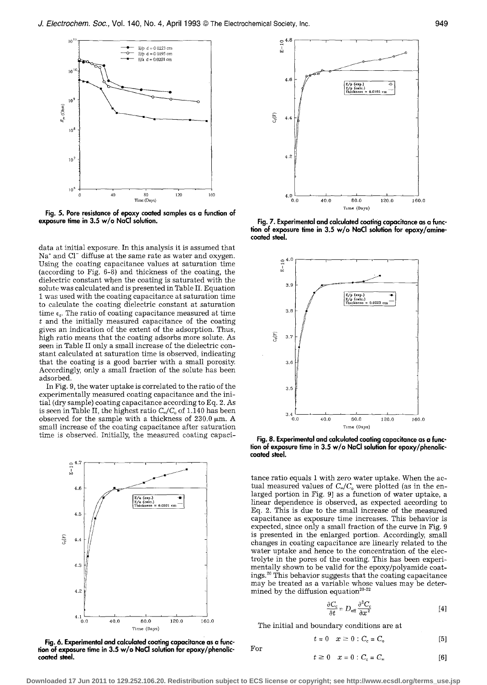

**Fig. 5. Pore resistance of epoxy coated samples as a function of exposure time in 3.5 w/o NaCI solution.** 

data at initial exposure. In this analysis it is assumed that  $Na<sup>+</sup>$  and Cl<sup> $-$ </sup> diffuse at the same rate as water and oxygen. Using the coating capacitance values at saturation time (according to Fig. 6-8) and thickness of the coating, the dielectric constant when the coating is saturated with the solute was calculated and is presented in Table II. Equation I was used with the coating capacitance at saturation time to calculate the coating dielectric constant at saturation time  $\epsilon_{\epsilon}$ . The ratio of coating capacitance measured at time  $t$  and the initially measured capacitance of the coating gives an indication of the extent of the adsorption. Thus, high ratio means that the coating adsorbs more solute. As seen in Table II only a small increase of the dielectric constant calculated at saturation time is observed, indicating that the coating is a good barrier with a small porosity. Accordingly, only a small fraction of the solute has been adsorbed.

In Fig. 9, the water uptake is correlated to the ratio of the experimentally measured coating capacitance and the initial (dry sample) coating capacitance according to Eq. 2. As is seen in Table II, the highest ratio  $C_{\omega}/C_{\omega}$  of 1.140 has been observed for the sample with a thickness of  $230.0 ~\mu m$ . A small increase of the coating capacitance after saturation time is observed. Initially, the measured coating capaci-



**Fig. 6. Experimental and calculated coating capacitance as a function of exposure time in 3.5 w/o NaCI solution for epoxy/phenoliccoated steel.** 



Fig. 7. Experimental and calculated coating capacitance as a func**tion of exposure time in 3.5 w/o NaCI solution for epoxy/aminecoated steel.** 



**Fig. 8. Experimental and calculated coating capacitance as a function of exposure time in 3.5 w/o NaCI solution for epoxy/phenoliccoated steel.** 

tance ratio equals 1 with zero water uptake. When the actual measured values of  $C_{\infty}/C_{\infty}$  were plotted (as in the enlarged portion in Fig. 9] as a function of water uptake, a linear dependence is observed, as expected according to Eq. 2. This is due to the small increase of the measured capacitance as exposure time increases. This behavior is expected, since only a small fraction of the curve in Fig. 9 is presented in the enlarged portion. Accordingly, small changes in coating capacitance are linearly related to the water uptake and hence to the concentration of the electrolyte in the pores of the coating. This has been experimentally shown to be valid for the epoxy/polyamide coatings.<sup>20</sup> This behavior suggests that the coating capacitance may be treated as a variable whose values may be determined by the diffusion equation<sup>20-22</sup>

$$
\frac{\partial C_{\rm c}}{\partial t} = D_{\rm eff} \frac{\partial^2 C_{\rm c}}{\partial x^2} \tag{4}
$$

The initial and boundary conditions are at

$$
t = 0 \quad x \geq 0 \,:\, C_{\rm c} = C_{\rm o} \tag{5}
$$

**Downloaded 17 Jun 2011 to 129.252.106.20. Redistribution subject to ECS license or copyright; see http://www.ecsdl.org/terms\_use.jsp**

For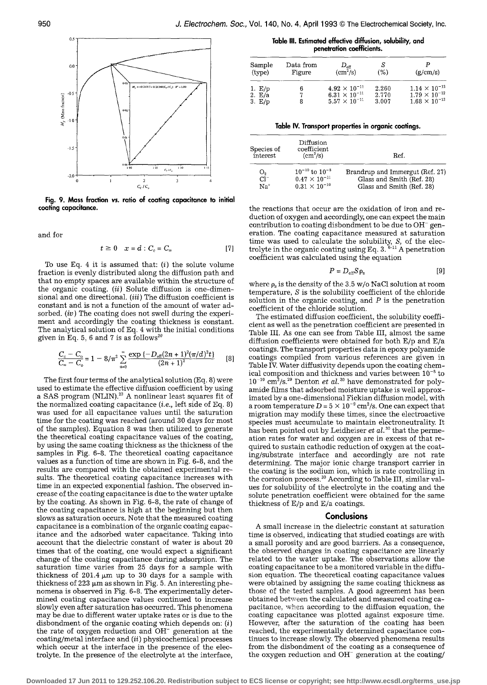

**Fig. 9. Mass fraction** *vs.* **ratio of coating capacitance to initial coating capacitance.** 

and for

$$
t \geq 0 \quad x = d : C_{c} = C_{\infty} \tag{7}
$$

To use Eq. 4 it is assumed that:  $(i)$  the solute volume fraction is evenly distributed along the diffusion path and that no empty spaces are available within the structure of the organic coating. *(it)* Solute diffusion is one-dimensional and one directional. *(iii)* The diffusion coefficient is constant and is not a function of the amount of water adsorbed. *(iv)* The coating does not swell during the experiment and accordingly the coating thickness is constant. The analytical solution of Eq. 4 with the initial conditions given in Eq. 5, 6 and 7 is as follows<sup>20</sup>

$$
\frac{C_{\rm c}-C_{\rm o}}{C_{\rm o}-C_{\rm o}}=1-8/\pi^2\sum_{n=0}^{\infty}\frac{\exp\left\{-D_{\rm eff}(2n+1)^2(\pi/d)^2t\right\}}{(2n+1)^2}\qquad[8]
$$

The first four terms of the analytical solution (Eq. 8) were used to estimate the effective diffusion coefficient by using a SAS program (NLIN).<sup>23</sup> A nonlinear least squares fit of the normalized coating capacitance *(i.e.,* left side of Eq. 8) was used for all capacitance values until the saturation time for the coating was reached (around 30 days for most of the samples). Equation 8 was then utilized to generate the theoretical coating capacitance values of the coating, by using the same coating thickness as the thickness of the samples in Fig. 6-8. The theoretical coating capacitance values as a function of time are shown in Fig. 6-8, and the results are compared with the obtained experimental results. The theoretical coating capacitance increases with time in an expected exponential fashion. The observed increase of the coating capacitance is due to the water uptake by the coating. As shown in Fig. 6-8, the rate of change of the coating capacitance is high at the beginning but then slows as saturation occurs. Note that the measured coating capacitance is a combination of the organic coating capacitance and the adsorbed water capacitance. Taking into account that the dielectric constant of water is about 20 times that of the coating, one would expect a significant change of the coating capacitance during adsorption. The saturation time varies from 25 days for a sample with thickness of  $201.4 \mu m$  up to 30 days for a sample with thickness of 223  $\mu$ m as shown in Fig. 5. An interesting phenomena is observed in Fig. 6-8. The experimentally determined coating capacitance values continued to increase slowly even after saturation has occurred. This phenomena may be due to different water uptake rates or is due to the disbondment of the organic coating which depends on:  $(i)$ the rate of oxygen reduction and OH- generation at the coating/metal interface and *(it)* physicochemical processes which occur at the interface in the presence of the electrolyte. In the presence of the electrolyte at the interface,

**Table IlL Estimated effective diffusion, solubility, and penetration coefficients.** 

| Sample | Data from | $D_{\rm eff}$          | S     | (g/cm/s)               |
|--------|-----------|------------------------|-------|------------------------|
| (type) | Figure    | (cm <sup>2</sup> /s)   | (%)   |                        |
| 1. E/p |           | $4.92 \times 10^{-11}$ | 2.260 | $1.14 \times 10^{-12}$ |
| 2. E/a |           | $6.31 \times 10^{-11}$ | 2.770 | $1.79 \times 10^{-12}$ |
| 3.E/p  |           | $5.57 \times 10^{-11}$ | 3.007 | $1.68 \times 10^{-12}$ |

|  |  |  |  | Table IV. Transport properties in organic coatings. |
|--|--|--|--|-----------------------------------------------------|
|  |  |  |  |                                                     |

| Species of<br>interest | Diffusion<br>coefficient<br>$\rm (cm^2/s)$ | Ref.                            |
|------------------------|--------------------------------------------|---------------------------------|
| O <sub>2</sub>         | $10^{-10}$ to $10^{-8}$                    | Brandrup and Immergut (Ref. 27) |
| $Cl^-$                 | $0.47 \times 10^{-11}$                     | Glass and Smith (Ref. 28)       |
| $\mathrm{Na}^+$        | $0.31 \times 10^{-10}$                     | Glass and Smith (Ref. 28)       |

the reactions that occur are the oxidation of iron and reduction of oxygen and accordingly, one can expect the main contribution to coating disbondment to be due to  $OH^-$  generation. The coating capacitance measured at saturation time was used to calculate the solubility, S, of the electrolyte in the organic coating using Eq. 3.  $^{6-11}$  A penetration coefficient was calculated using the equation

$$
P = D_{\rm eff} S \rho_{\rm s} \tag{9}
$$

where  $\rho_s$  is the density of the 3.5 w/o NaCl solution at room temperature, S is the solubility coefficient of the chloride solution in the organic coating, and  $P$  is the penetration coefficient of the chloride solution.

The estimated diffusion coefficient, the solubility coefficient as well as the penetration coefficient are presented in Table III. As one can see from Table III, almost the same diffusion coefficients were obtained for both E/p and E/a coatings. The transport properties data in epoxy polyamide coatings compiled from various references are given in Table IV. Water diffusivity depends upon the coating chemical composition and thickness and varies between  $10^{-8}$  to  $10^{-10}$  cm<sup>2</sup>/s.<sup>29</sup> Denton *et al.*<sup>20</sup> have demonstrated for polyamide films that adsorbed moisture uptake is well approximated by a one-dimensional Fickian diffusion model, with a room temperature D =  $5 \times 10^{-9}$  cm<sup>2</sup>/s. One can expect that migration may modify these times, since the electroactive species must accumulate to maintain electroneutrality. It has been pointed out by Leidheiser *et aI. 30* that the permeation rates for water and oxygen are in excess of that required to sustain cathodic reduction of oxygen at the coating/substrate interface and accordingly are not rate determining. The major ionic charge transport carrier in the coating is the sodium ion, which is rate controlling in the corrosion process. $^{\rm 30}$  According to Table III, similar values for solubility of the electrolyte in the coating and the solute penetration coefficient were obtained for the same thickness of E/p and E/a coatings.

#### **Conclusions**

A small increase in the dielectric constant at saturation time is observed, indicating that studied coatings are with a small porosity and are good barriers. As a consequence, the observed changes in coating capacitance are linearly related to the water uptake. The observations allow the coating capacitance to be a monitored variable in the diffusion equation. The theoretical coating capacitance values were obtained by assigning the same coating thickness as those of the tested samples. A good agreement has been obtained between the calculated and measured coating capacitance, when according to the diffusion equation, the coating capacitance was plotted against exposure time. However, after the saturation of the coating has been reached, the experimentally determined capacitance continues to increase slowly. The observed phenomena results from the disbondment of the coating as a consequence of the oxygen reduction and  $OH^-$  generation at the coating/